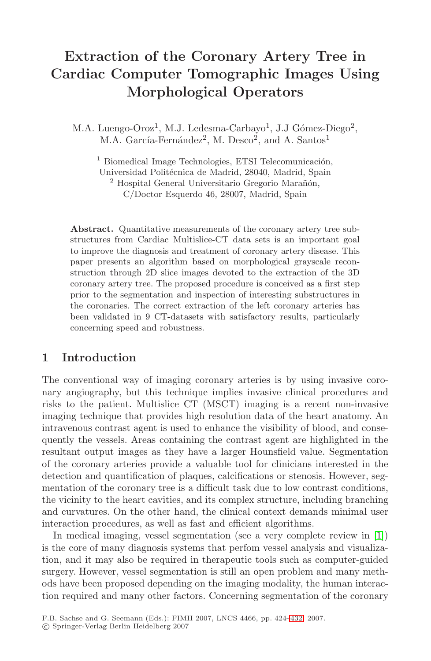# **Extraction of the Coronary Artery Tree in Cardiac Computer Tomographic Images Using Morphological Operators**

M.A. Luengo-Oroz<sup>1</sup>, M.J. Ledesma-Carbayo<sup>1</sup>, J.J Gómez-Diego<sup>2</sup>, M.A. García-Fernández<sup>2</sup>, M. Desco<sup>2</sup>, and A. Santos<sup>1</sup>

 $1$  Biomedical Image Technologies, ETSI Telecomunicación, Universidad Politécnica de Madrid, 28040, Madrid, Spain  $2$  Hospital General Universitario Gregorio Marañón, C/Doctor Esquerdo 46, 28007, Madrid, Spain

**Abstract.** Quantitative measurements of the coronary artery tree substructures from Cardiac Multislice-CT data sets is an important goal to improve the diagnosis and treatment of coronary artery disease. This paper presents an algorithm based on morphological grayscale reconstruction through 2D slice images devoted to the extraction of the 3D coronary artery tree. The proposed procedure is conceived as a first step prior to the segmentation and inspection of interesting substructures in the coronaries. The correct extraction of the left coronary arteries has been validated in 9 CT-datasets with satisfactory results, particularly concerning speed and robustness.

#### **1 Introduction**

The conventional way of imaging coronary arteries is by using invasive coronary angiography, but this technique implies invasive clinical procedures and risks to the patient. Multislice CT (MSCT) imaging is a recent non-invasive imaging technique that provides high resolution data of the heart anatomy. An intravenous contrast agent is used to enhance the visibility of blood, and consequently the vessels. Areas containing the contrast agent are highlighted in the resultant output images as they have a larger Hounsfield value. Segmentation of the coronary arteries provide a valuable tool for clinicians interested in the detection and quantification of plaques, calcifications or stenosis. However, segmentation of the coronary tree is a difficult task due to low contrast conditions, the vicinity to the heart cavities, and its complex structure, including branching and curvatures. On the other hand, the clinical context demands minimal user interaction procedures, as well as fast and efficient algorithms.

In medical imaging, vessel segmentation (see a very complete review in [\[1\]](#page-8-0)) is the core of many diagnosis systems that perfom vessel analysis and visualization, and it may also be required in therapeutic tools such as computer-guided surgery. However, vessel segmentation is still an open problem and many methods have been proposed depending on the imaging modality, the human interaction required and many other factors. Concerning segmentation of the coronary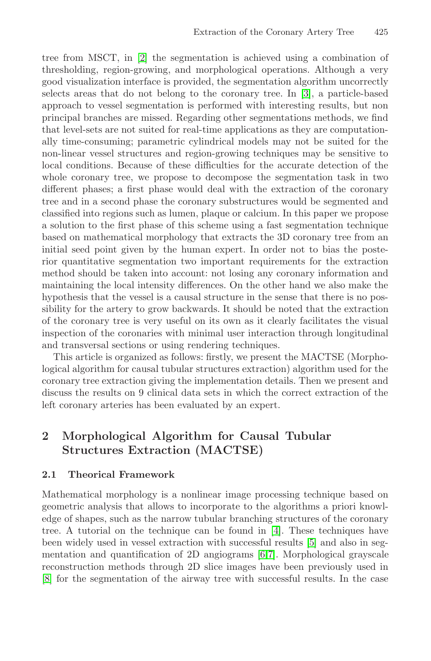tree from MSCT, in [\[2\]](#page-8-2) the segmentation is achieved using a combination of thresholding, region-growing, and morphological operations. Although a very good visualization interface is provided, the segmentation algorithm uncorrectly selects areas that do not belong to the coronary tree. In [\[3\]](#page-8-3), a particle-based approach to vessel segmentation is performed with interesting results, but non principal branches are missed. Regarding other segmentations methods, we find that level-sets are not suited for real-time applications as they are computationally time-consuming; parametric cylindrical models may not be suited for the non-linear vessel structures and region-growing techniques may be sensitive to local conditions. Because of these difficulties for the accurate detection of the whole coronary tree, we propose to decompose the segmentation task in two different phases; a first phase would deal with the extraction of the coronary tree and in a second phase the coronary substructures would be segmented and classified into regions such as lumen, plaque or calcium. In this paper we propose a solution to the first phase of this scheme using a fast segmentation technique based on mathematical morphology that extracts the 3D coronary tree from an initial seed point given by the human expert. In order not to bias the posterior quantitative segmentation two important requirements for the extraction method should be taken into account: not losing any coronary information and maintaining the local intensity differences. On the other hand we also make the hypothesis that the vessel is a causal structure in the sense that there is no possibility for the artery to grow backwards. It should be noted that the extraction of the coronary tree is very useful on its own as it clearly facilitates the visual inspection of the coronaries with minimal user interaction through longitudinal and transversal sections or using rendering techniques.

This article is organized as follows: firstly, we present the MACTSE (Morphological algorithm for causal tubular structures extraction) algorithm used for the coronary tree extraction giving the implementation details. Then we present and discuss the results on 9 clinical data sets in which the correct extraction of the left coronary arteries has been evaluated by an expert.

## **2 Morphological Algorithm for Causal Tubular Structures Extraction (MACTSE)**

#### **2.1 Theorical Framework**

Mathematical morphology is a nonlinear image processing technique based on geometric analysis that allows to incorporate to the algorithms a priori knowledge of shapes, such as the narrow tubular branching structures of the coronary tree. A tutorial on the technique can be found in [\[4\]](#page-8-4). These techniques have been widely used in vessel extraction with successful results [\[5\]](#page-8-5) and also in segmentation and quantification of 2D angiograms [\[6,](#page-8-6)[7\]](#page-8-7). Morphological grayscale reconstruction methods through 2D slice images have been previously used in [\[8\]](#page-8-8) for the segmentation of the airway tree with successful results. In the case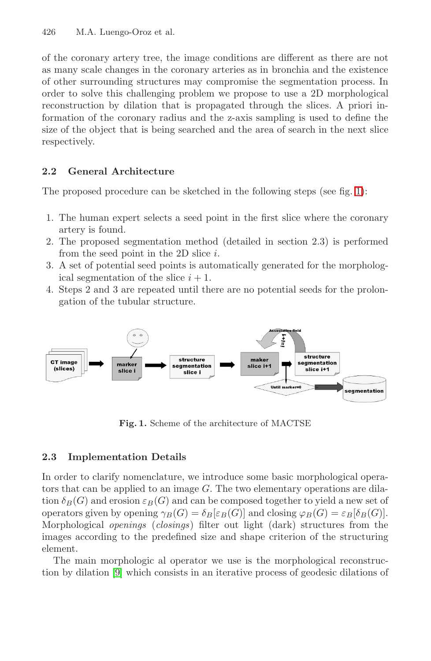of the coronary artery tree, the image conditions are different as there are not as many scale changes in the coronary arteries as in bronchia and the existence of other surrounding structures may compromise the segmentation process. In order to solve this challenging problem we propose to use a 2D morphological reconstruction by dilation that is propagated through the slices. A priori information of the coronary radius and the z-axis sampling is used to define the size of the object that is being searched and the area of search in the next slice respectively.

### **2.2 General Architecture**

The proposed procedure can be sketched in the following steps (see fig. [1\)](#page-2-0):

- 1. The human expert selects a seed point in the first slice where the coronary artery is found.
- 2. The proposed segmentation method (detailed in section 2.3) is performed from the seed point in the 2D slice i.
- 3. A set of potential seed points is automatically generated for the morphological segmentation of the slice  $i + 1$ .
- 4. Steps 2 and 3 are repeated until there are no potential seeds for the prolongation of the tubular structure.



**Fig. 1.** Scheme of the architecture of MACTSE

#### <span id="page-2-0"></span>**2.3 Implementation Details**

In order to clarify nomenclature, we introduce some basic morphological operators that can be applied to an image G. The two elementary operations are dilation  $\delta_B(G)$  and erosion  $\varepsilon_B(G)$  and can be composed together to yield a new set of operators given by opening  $\gamma_B(G) = \delta_B[\varepsilon_B(G)]$  and closing  $\varphi_B(G) = \varepsilon_B[\delta_B(G)]$ . Morphological openings (closings) filter out light (dark) structures from the images according to the predefined size and shape criterion of the structuring element.

The main morphologic al operator we use is the morphological reconstruction by dilation [\[9\]](#page-8-9) which consists in an iterative process of geodesic dilations of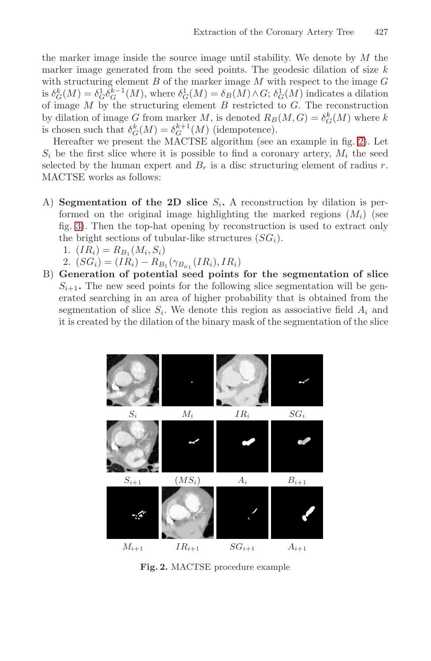the marker image inside the source image until stability. We denote by  $M$  the marker image generated from the seed points. The geodesic dilation of size  $k$ with structuring element  $B$  of the marker image  $M$  with respect to the image  $G$ is  $\delta_G^k(M) = \delta_G^1(\delta_G^{k-1}(M))$ , where  $\delta_G^1(M) = \delta_B(M) \wedge G$ ;  $\delta_G^1(M)$  indicates a dilation of image  $M$  by the structuring element  $B$  restricted to  $G$ . The reconstruction by dilation of image G from marker M, is denoted  $R_B(M, G) = \delta_G^k(M)$  where k is chosen such that  $\delta_G^k(M) = \delta_G^{k+1}(M)$  (idempotence).

Hereafter we present the MACTSE algorithm (see an example in fig. [2\)](#page-3-0). Let  $S_i$  be the first slice where it is possible to find a coronary artery,  $M_i$  the seed selected by the human expert and  $B_r$  is a disc structuring element of radius r. MACTSE works as follows:

- A) **Segmentation of the 2D slice**  $S_i$ . A reconstruction by dilation is performed on the original image highlighting the marked regions  $(M_i)$  (see fig. [3\)](#page-4-0). Then the top-hat opening by reconstruction is used to extract only the bright sections of tubular-like structures  $(SG_i)$ .
	- 1.  $(IR_i) = R_{B_1}(M_i, S_i)$
	- 2.  $(SG_i) = (IR_i) R_{B_1}(\gamma_{B_{\mu_1}}(IR_i),IR_i)$
- B) **Generation of potential seed points for the segmentation of slice**  $S_{i+1}$ . The new seed points for the following slice segmentation will be generated searching in an area of higher probability that is obtained from the segmentation of slice  $S_i$ . We denote this region as associative field  $A_i$  and it is created by the dilation of the binary mask of the segmentation of the slice



<span id="page-3-0"></span>**Fig. 2.** MACTSE procedure example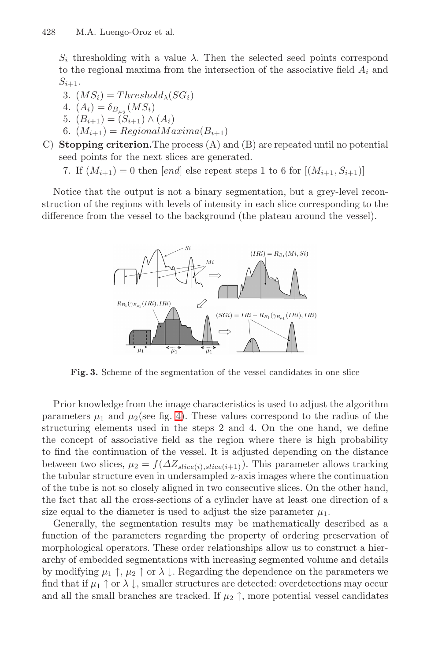$S_i$  thresholding with a value  $\lambda$ . Then the selected seed points correspond to the regional maxima from the intersection of the associative field  $A_i$  and  $S_{i+1}$ .

- 3.  $(MS_i) = Threshold_{\lambda}(SG_i)$
- 4.  $(A_i) = \delta_{B_{\mu_2}}(MS_i)$
- 5.  $(B_{i+1})=(S_{i+1}) \wedge (A_i)$
- 6.  $(M_{i+1}) = RegionalMaxima(B_{i+1})$
- C) **Stopping criterion.**The process (A) and (B) are repeated until no potential seed points for the next slices are generated.
	- 7. If  $(M_{i+1}) = 0$  then [end] else repeat steps 1 to 6 for  $[(M_{i+1}, S_{i+1})]$

Notice that the output is not a binary segmentation, but a grey-level reconstruction of the regions with levels of intensity in each slice corresponding to the difference from the vessel to the background (the plateau around the vessel).



**Fig. 3.** Scheme of the segmentation of the vessel candidates in one slice

<span id="page-4-0"></span>Prior knowledge from the image characteristics is used to adjust the algorithm parameters  $\mu_1$  and  $\mu_2$ (see fig. [4\)](#page-5-0). These values correspond to the radius of the structuring elements used in the steps 2 and 4. On the one hand, we define the concept of associative field as the region where there is high probability to find the continuation of the vessel. It is adjusted depending on the distance between two slices,  $\mu_2 = f(\Delta Z_{slice(i), slice(i+1)})$ . This parameter allows tracking the tubular structure even in undersampled z-axis images where the continuation of the tube is not so closely aligned in two consecutive slices. On the other hand, the fact that all the cross-sections of a cylinder have at least one direction of a size equal to the diameter is used to adjust the size parameter  $\mu_1$ .

Generally, the segmentation results may be mathematically described as a function of the parameters regarding the property of ordering preservation of morphological operators. These order relationships allow us to construct a hierarchy of embedded segmentations with increasing segmented volume and details by modifying  $\mu_1 \uparrow, \mu_2 \uparrow$  or  $\lambda \downarrow$ . Regarding the dependence on the parameters we find that if  $\mu_1 \uparrow$  or  $\lambda \downarrow$ , smaller structures are detected: overdetections may occur and all the small branches are tracked. If  $\mu_2 \uparrow$ , more potential vessel candidates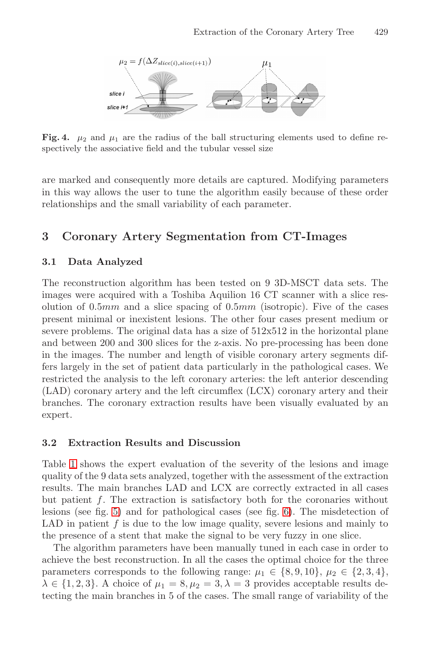

<span id="page-5-0"></span>**Fig. 4.**  $\mu_2$  and  $\mu_1$  are the radius of the ball structuring elements used to define respectively the associative field and the tubular vessel size

are marked and consequently more details are captured. Modifying parameters in this way allows the user to tune the algorithm easily because of these order relationships and the small variability of each parameter.

### **3 Coronary Artery Segmentation from CT-Images**

#### **3.1 Data Analyzed**

The reconstruction algorithm has been tested on 9 3D-MSCT data sets. The images were acquired with a Toshiba Aquilion 16 CT scanner with a slice resolution of  $0.5mm$  and a slice spacing of  $0.5mm$  (isotropic). Five of the cases present minimal or inexistent lesions. The other four cases present medium or severe problems. The original data has a size of  $512x512$  in the horizontal plane and between 200 and 300 slices for the z-axis. No pre-processing has been done in the images. The number and length of visible coronary artery segments differs largely in the set of patient data particularly in the pathological cases. We restricted the analysis to the left coronary arteries: the left anterior descending (LAD) coronary artery and the left circumflex (LCX) coronary artery and their branches. The coronary extraction results have been visually evaluated by an expert.

#### **3.2 Extraction Results and Discussion**

Table [1](#page-6-0) shows the expert evaluation of the severity of the lesions and image quality of the 9 data sets analyzed, together with the assessment of the extraction results. The main branches LAD and LCX are correctly extracted in all cases but patient f. The extraction is satisfactory both for the coronaries without lesions (see fig. [5\)](#page-6-1) and for pathological cases (see fig. [6\)](#page-7-0). The misdetection of LAD in patient  $f$  is due to the low image quality, severe lesions and mainly to the presence of a stent that make the signal to be very fuzzy in one slice.

The algorithm parameters have been manually tuned in each case in order to achieve the best reconstruction. In all the cases the optimal choice for the three parameters corresponds to the following range:  $\mu_1 \in \{8, 9, 10\}, \mu_2 \in \{2, 3, 4\},\$  $\lambda \in \{1, 2, 3\}$ . A choice of  $\mu_1 = 8, \mu_2 = 3, \lambda = 3$  provides acceptable results detecting the main branches in 5 of the cases. The small range of variability of the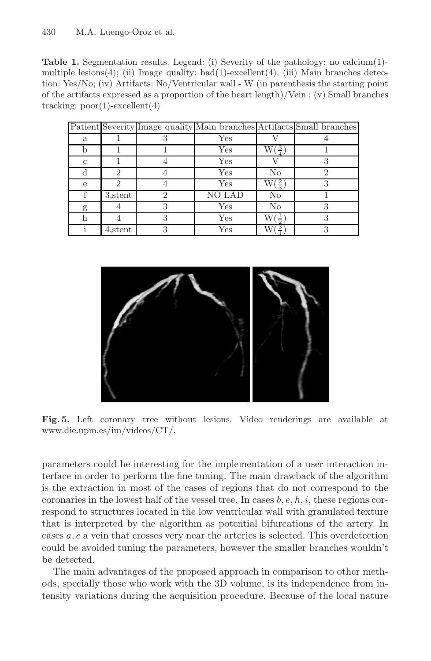<span id="page-6-0"></span>**Table 1.** Segmentation results. Legend: (i) Severity of the pathology: no calcium(1)multiple lesions(4); (ii) Image quality:  $bad(1)$ -excellent(4); (iii) Main branches detection: Yes/No; (iv) Artifacts: No/Ventricular wall - W (in parenthesis the starting point of the artifacts expressed as a proportion of the heart length)/Vein ; (v) Small branches tracking:  $poor(1)$ -excellent $(4)$ 

|   |               |   |        |                  | Patient Severity Image quality Main branches Artifacts Small branches |
|---|---------------|---|--------|------------------|-----------------------------------------------------------------------|
| a |               |   | Yes    |                  |                                                                       |
|   |               |   | Yes    | $W(\frac{3}{4})$ |                                                                       |
| C |               |   | Yes    |                  |                                                                       |
|   | $\mathcal{D}$ |   | Yes    | No               | റ                                                                     |
| е | 2             |   | Yes    | $W(\frac{2}{3})$ |                                                                       |
|   | 3, stent      | റ | NO LAD | No               |                                                                       |
| g |               |   | Yes    | No               |                                                                       |
| h |               |   | Yes    | $W(\frac{1}{2})$ | З                                                                     |
|   | 4, stent      |   | Yes    | W                |                                                                       |



<span id="page-6-1"></span>**Fig. 5.** Left coronary tree without lesions. Video renderings are available at www.die.upm.es/im/videos/CT/.

parameters could be interesting for the implementation of a user interaction interface in order to perform the fine tuning. The main drawback of the algorithm is the extraction in most of the cases of regions that do not correspond to the coronaries in the lowest half of the vessel tree. In cases  $b, e, h, i$ , these regions correspond to structures located in the low ventricular wall with granulated texture that is interpreted by the algorithm as potential bifurcations of the artery. In cases  $a, c$  a vein that crosses very near the arteries is selected. This overdetection could be avoided tuning the parameters, however the smaller branches wouldn't be detected.

The main advantages of the proposed approach in comparison to other methods, specially those who work with the 3D volume, is its independence from intensity variations during the acquisition procedure. Because of the local nature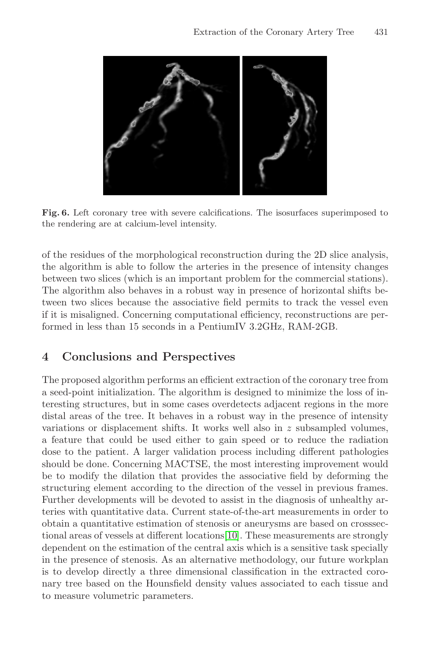

<span id="page-7-0"></span>**Fig. 6.** Left coronary tree with severe calcifications. The isosurfaces superimposed to the rendering are at calcium-level intensity.

of the residues of the morphological reconstruction during the 2D slice analysis, the algorithm is able to follow the arteries in the presence of intensity changes between two slices (which is an important problem for the commercial stations). The algorithm also behaves in a robust way in presence of horizontal shifts between two slices because the associative field permits to track the vessel even if it is misaligned. Concerning computational efficiency, reconstructions are performed in less than 15 seconds in a PentiumIV 3.2GHz, RAM-2GB.

### **4 Conclusions and Perspectives**

The proposed algorithm performs an efficient extraction of the coronary tree from a seed-point initialization. The algorithm is designed to minimize the loss of interesting structures, but in some cases overdetects adjacent regions in the more distal areas of the tree. It behaves in a robust way in the presence of intensity variations or displacement shifts. It works well also in  $z$  subsampled volumes, a feature that could be used either to gain speed or to reduce the radiation dose to the patient. A larger validation process including different pathologies should be done. Concerning MACTSE, the most interesting improvement would be to modify the dilation that provides the associative field by deforming the structuring element according to the direction of the vessel in previous frames. Further developments will be devoted to assist in the diagnosis of unhealthy arteries with quantitative data. Current state-of-the-art measurements in order to obtain a quantitative estimation of stenosis or aneurysms are based on crosssectional areas of vessels at different locations[\[10\]](#page-8-10). These measurements are strongly dependent on the estimation of the central axis which is a sensitive task specially in the presence of stenosis. As an alternative methodology, our future workplan is to develop directly a three dimensional classification in the extracted coronary tree based on the Hounsfield density values associated to each tissue and to measure volumetric parameters.